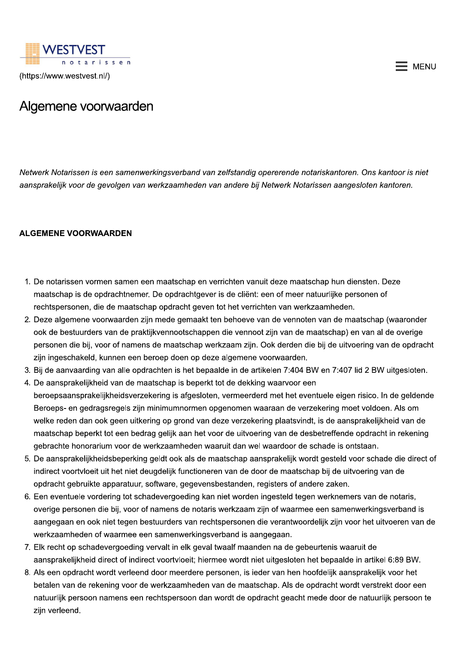

(https://www.westvest.nl/)

## $\equiv$  MENU

## Algemene voorwaarden

Netwerk Notarissen is een samenwerkingsverband van zelfstandig opererende notariskantoren. Ons kantoor is niet aansprakelijk voor de gevolgen van werkzaamheden van andere bij Netwerk Notarissen aangesloten kantoren.

## **ALGEMENE VOORWAARDEN**

- 1. De notarissen vormen samen een maatschap en verrichten vanuit deze maatschap hun diensten. Deze maatschap is de opdrachtnemer. De opdrachtgever is de cliënt: een of meer natuurlijke personen of rechtspersonen, die de maatschap opdracht geven tot het verrichten van werkzaamheden.
- 2. Deze algemene voorwaarden zijn mede gemaakt ten behoeve van de vennoten van de maatschap (waaronder ook de bestuurders van de praktijkvennootschappen die vennoot zijn van de maatschap) en van al de overige personen die bij, voor of namens de maatschap werkzaam zijn. Ook derden die bij de uitvoering van de opdracht zijn ingeschakeld, kunnen een beroep doen op deze algemene voorwaarden.
- 3. Bij de aanvaarding van alle opdrachten is het bepaalde in de artikelen 7:404 BW en 7:407 lid 2 BW uitgesloten.
- 4. De aansprakelijkheid van de maatschap is beperkt tot de dekking waarvoor een beroepsaansprakelijkheidsverzekering is afgesloten, vermeerderd met het eventuele eigen risico. In de geldende Beroeps- en gedragsregels zijn minimumnormen opgenomen waaraan de verzekering moet voldoen. Als om welke reden dan ook geen uitkering op grond van deze verzekering plaatsvindt, is de aansprakelijkheid van de maatschap beperkt tot een bedrag gelijk aan het voor de uitvoering van de desbetreffende opdracht in rekening gebrachte honorarium voor de werkzaamheden waaruit dan wel waardoor de schade is ontstaan.
- 5. De aansprakelijkheidsbeperking geldt ook als de maatschap aansprakelijk wordt gesteld voor schade die direct of indirect voortvloeit uit het niet deugdelijk functioneren van de door de maatschap bij de uitvoering van de opdracht gebruikte apparatuur, software, gegevensbestanden, registers of andere zaken.
- 6. Een eventuele vordering tot schadevergoeding kan niet worden ingesteld tegen werknemers van de notaris, overige personen die bij, voor of namens de notaris werkzaam zijn of waarmee een samenwerkingsverband is aangegaan en ook niet tegen bestuurders van rechtspersonen die verantwoordelijk zijn voor het uitvoeren van de werkzaamheden of waarmee een samenwerkingsverband is aangegaan.
- 7. Elk recht op schadevergoeding vervalt in elk geval twaalf maanden na de gebeurtenis waaruit de aansprakelijkheid direct of indirect voortvloeit; hiermee wordt niet uitgesloten het bepaalde in artikel 6:89 BW.
- 8. Als een opdracht wordt verleend door meerdere personen, is ieder van hen hoofdelijk aansprakelijk voor het betalen van de rekening voor de werkzaamheden van de maatschap. Als de opdracht wordt verstrekt door een natuurlijk persoon namens een rechtspersoon dan wordt de opdracht geacht mede door de natuurlijk persoon te zijn verleend.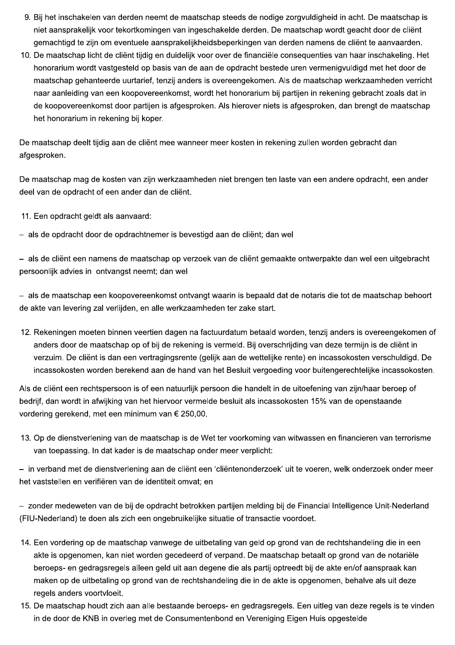- 9. Bij het inschakelen van derden neemt de maatschap steeds de nodige zorgvuldigheid in acht. De maatschap is niet aansprakelijk voor tekortkomingen van ingeschakelde derden. De maatschap wordt geacht door de cliënt gemachtigd te zijn om eventuele aansprakelijkheidsbeperkingen van derden namens de cliënt te aanvaarden.
- 10. De maatschap licht de cliënt tijdig en duidelijk voor over de financiële consequenties van haar inschakeling. Het honorarium wordt vastgesteld op basis van de aan de opdracht bestede uren vermenigvuldigd met het door de maatschap gehanteerde uurtarief, tenzij anders is overeengekomen. Als de maatschap werkzaamheden verricht naar aanleiding van een koopovereenkomst, wordt het honorarium bij partijen in rekening gebracht zoals dat in de koopovereenkomst door partijen is afgesproken. Als hierover niets is afgesproken, dan brengt de maatschap het honorarium in rekening bij koper.

De maatschap deelt tijdig aan de cliënt mee wanneer meer kosten in rekening zullen worden gebracht dan afgesproken.

De maatschap mag de kosten van zijn werkzaamheden niet brengen ten laste van een andere opdracht, een ander deel van de opdracht of een ander dan de cliënt.

- 11. Een opdracht geldt als aanvaard:
- als de opdracht door de opdrachtnemer is bevestigd aan de cliënt; dan wel

- als de cliënt een namens de maatschap op verzoek van de cliënt gemaakte ontwerpakte dan wel een uitgebracht persoonlijk advies in ontvangst neemt; dan wel

- als de maatschap een koopovereenkomst ontvangt waarin is bepaald dat de notaris die tot de maatschap behoort de akte van levering zal verlijden, en alle werkzaamheden ter zake start.

12. Rekeningen moeten binnen veertien dagen na factuurdatum betaald worden, tenzij anders is overeengekomen of anders door de maatschap op of bij de rekening is vermeld. Bij overschrijding van deze termijn is de cliënt in verzuim. De cliënt is dan een vertragingsrente (gelijk aan de wettelijke rente) en incassokosten verschuldigd. De incassokosten worden berekend aan de hand van het Besluit vergoeding voor buitengerechtelijke incassokosten.

Als de cliënt een rechtspersoon is of een natuurlijk persoon die handelt in de uitoefening van zijn/haar beroep of bedrijf, dan wordt in afwijking van het hiervoor vermelde besluit als incassokosten 15% van de openstaande vordering gerekend, met een minimum van € 250,00.

13. Op de dienstverlening van de maatschap is de Wet ter voorkoming van witwassen en financieren van terrorisme van toepassing. In dat kader is de maatschap onder meer verplicht:

- in verband met de dienstverlening aan de cliënt een 'cliëntenonderzoek' uit te voeren, welk onderzoek onder meer het vaststellen en verifiëren van de identiteit omvat; en

- zonder medeweten van de bij de opdracht betrokken partijen melding bij de Financial Intelligence Unit-Nederland (FIU-Nederland) te doen als zich een ongebruikelijke situatie of transactie voordoet.

- 14. Een vordering op de maatschap vanwege de uitbetaling van geld op grond van de rechtshandeling die in een akte is opgenomen, kan niet worden gecedeerd of verpand. De maatschap betaalt op grond van de notariële beroeps- en gedragsregels alleen geld uit aan degene die als partij optreedt bij de akte en/of aanspraak kan maken op de uitbetaling op grond van de rechtshandeling die in de akte is opgenomen, behalve als uit deze regels anders voortvloeit.
- 15. De maatschap houdt zich aan alle bestaande beroeps- en gedragsregels. Een uitleg van deze regels is te vinden in de door de KNB in overleg met de Consumentenbond en Vereniging Eigen Huis opgestelde